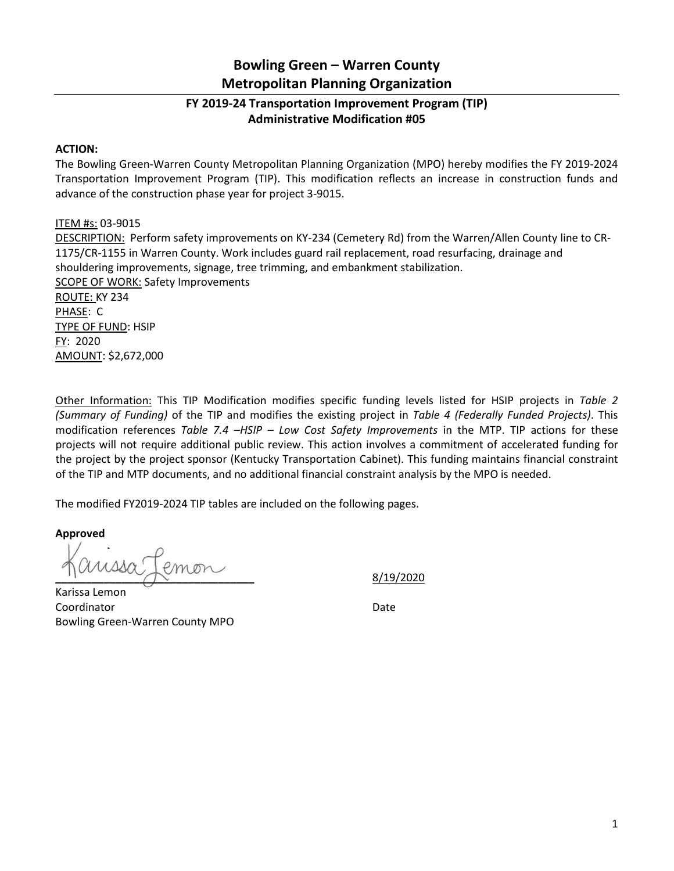## **Bowling Green – Warren County Metropolitan Planning Organization**

## **FY 2019-24 Transportation Improvement Program (TIP) Administrative Modification #05**

## **ACTION:**

The Bowling Green-Warren County Metropolitan Planning Organization (MPO) hereby modifies the FY 2019-2024 Transportation Improvement Program (TIP). This modification reflects an increase in construction funds and advance of the construction phase year for project 3-9015.

## ITEM #s: 03-9015

DESCRIPTION: Perform safety improvements on KY-234 (Cemetery Rd) from the Warren/Allen County line to CR-1175/CR-1155 in Warren County. Work includes guard rail replacement, road resurfacing, drainage and shouldering improvements, signage, tree trimming, and embankment stabilization. SCOPE OF WORK: Safety Improvements ROUTE: KY 234 PHASE: C TYPE OF FUND: HSIP FY: 2020 AMOUNT: \$2,672,000

Other Information: This TIP Modification modifies specific funding levels listed for HSIP projects in *Table 2 (Summary of Funding)* of the TIP and modifies the existing project in *Table 4 (Federally Funded Projects)*. This modification references *Table 7.4 –HSIP – Low Cost Safety Improvements* in the MTP. TIP actions for these projects will not require additional public review. This action involves a commitment of accelerated funding for the project by the project sponsor (Kentucky Transportation Cabinet). This funding maintains financial constraint of the TIP and MTP documents, and no additional financial constraint analysis by the MPO is needed.

The modified FY2019-2024 TIP tables are included on the following pages.

**Approved**

**\_\_\_\_\_\_\_\_\_\_\_\_\_\_\_\_\_\_\_\_\_\_\_\_\_\_\_\_\_\_\_\_\_** 8/19/2020

Karissa Lemon Coordinator Date Bowling Green-Warren County MPO